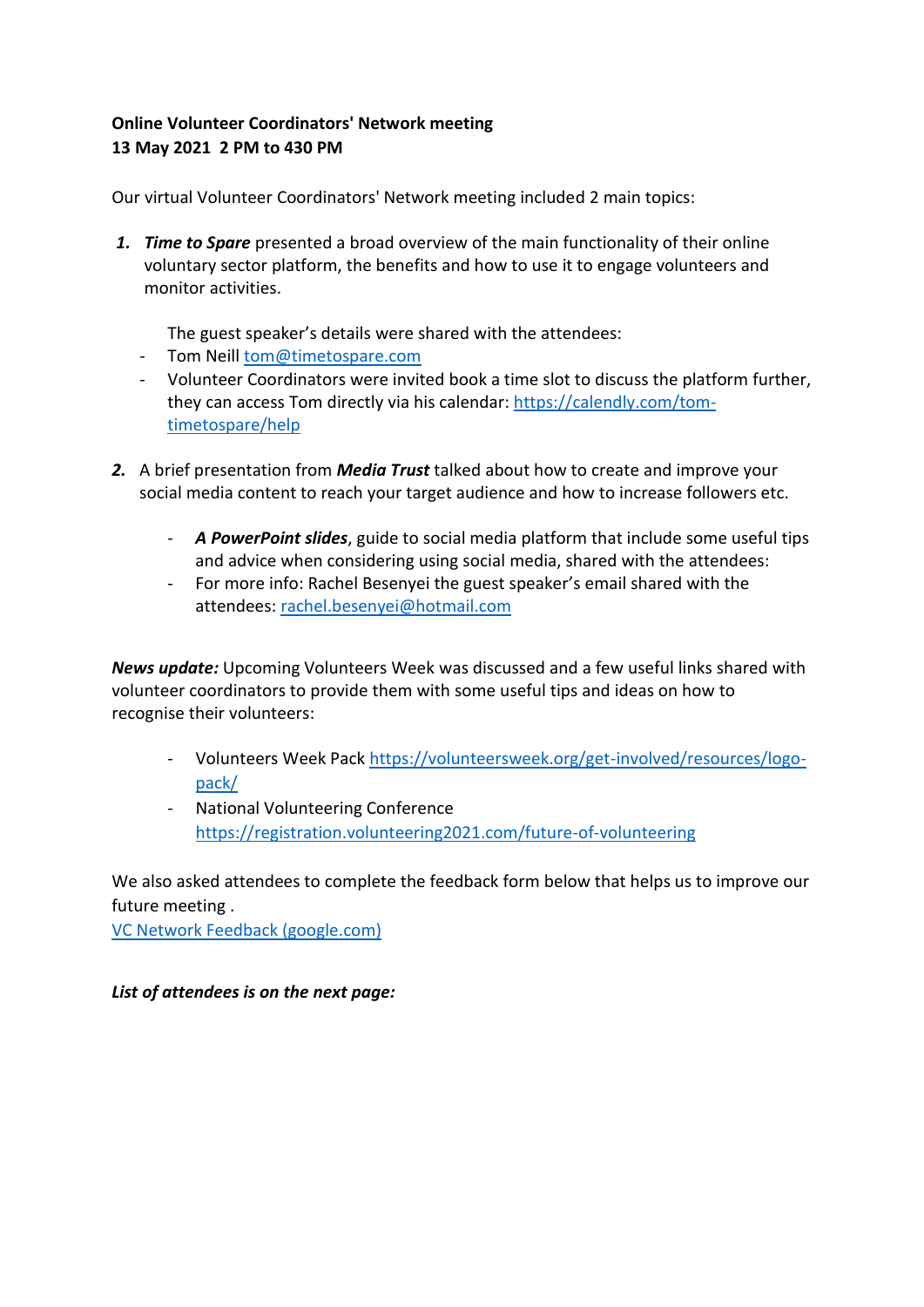## **Online Volunteer Coordinators' Network meeting 13 May 2021 2 PM to 430 PM**

Our virtual Volunteer Coordinators' Network meeting included 2 main topics:

*1. Time to Spare* presented a broad overview of the main functionality of their online voluntary sector platform, the benefits and how to use it to engage volunteers and monitor activities.

The guest speaker's details were shared with the attendees:

- Tom Neill [tom@timetospare.com](mailto:tom@timetospare.com)
- Volunteer Coordinators were invited book a time slot to discuss the platform further, they can access Tom directly via his calendar: [https://calendly.com/tom](https://calendly.com/tom-timetospare/help)[timetospare/help](https://calendly.com/tom-timetospare/help)
- *2.* A brief presentation from *Media Trust* talked about how to create and improve your social media content to reach your target audience and how to increase followers etc.
	- *A PowerPoint slides*, guide to social media platform that include some useful tips and advice when considering using social media, shared with the attendees:
	- For more info: Rachel Besenyei the guest speaker's email shared with the attendees: [rachel.besenyei@hotmail.com](mailto:rachel.besenyei@hotmail.com)

*News update:* Upcoming Volunteers Week was discussed and a few useful links shared with volunteer coordinators to provide them with some useful tips and ideas on how to recognise their volunteers:

- Volunteers Week Pack [https://volunteersweek.org/get-involved/resources/logo](https://volunteersweek.org/get-involved/resources/logo-pack/)[pack/](https://volunteersweek.org/get-involved/resources/logo-pack/)
- National Volunteering Conference <https://registration.volunteering2021.com/future-of-volunteering>

We also asked attendees to complete the feedback form below that helps us to improve our future meeting .

[VC Network Feedback \(google.com\)](https://docs.google.com/forms/d/e/1FAIpQLSf4bzqcLD8ExF-QtNxFCLSoefs_y1HCrjLYbo8X2pbAqKjSWw/viewform)

*List of attendees is on the next page:*